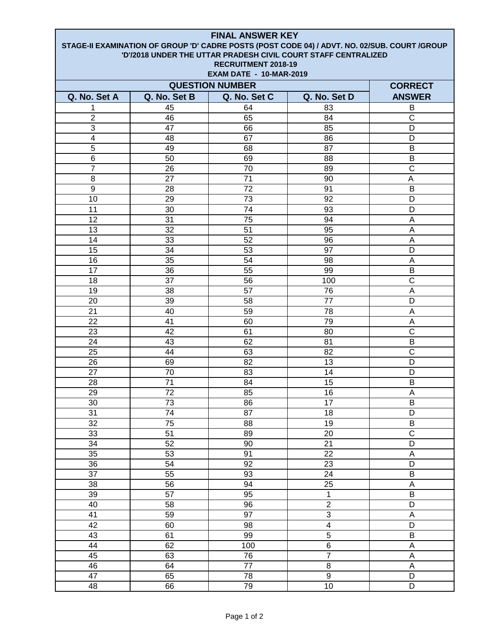| <b>FINAL ANSWER KEY</b>                                                                                                                                         |                 |                                |                         |                           |  |  |
|-----------------------------------------------------------------------------------------------------------------------------------------------------------------|-----------------|--------------------------------|-------------------------|---------------------------|--|--|
| STAGE-II EXAMINATION OF GROUP 'D' CADRE POSTS (POST CODE 04) / ADVT. NO. 02/SUB. COURT /GROUP<br>'D'/2018 UNDER THE UTTAR PRADESH CIVIL COURT STAFF CENTRALIZED |                 |                                |                         |                           |  |  |
|                                                                                                                                                                 |                 | RECRUITMENT 2018-19            |                         |                           |  |  |
|                                                                                                                                                                 |                 | <b>EXAM DATE - 10-MAR-2019</b> |                         |                           |  |  |
| <b>QUESTION NUMBER</b><br><b>CORRECT</b>                                                                                                                        |                 |                                |                         |                           |  |  |
|                                                                                                                                                                 | Q. No. Set B    |                                |                         | <b>ANSWER</b>             |  |  |
| Q. No. Set A                                                                                                                                                    |                 | Q. No. Set C                   | Q. No. Set D            |                           |  |  |
| 1<br>$\overline{2}$                                                                                                                                             | 45<br>46        | 64<br>65                       | 83<br>84                | B<br>$\mathsf{C}$         |  |  |
| 3                                                                                                                                                               | 47              | 66                             | 85                      | D                         |  |  |
| $\overline{4}$                                                                                                                                                  | 48              | 67                             | 86                      | D                         |  |  |
| $\overline{5}$                                                                                                                                                  | 49              | 68                             | 87                      | B                         |  |  |
| 6                                                                                                                                                               | 50              | 69                             | 88                      | B                         |  |  |
| 7                                                                                                                                                               | 26              | 70                             | 89                      | C                         |  |  |
| 8                                                                                                                                                               | 27              | 71                             | 90                      | A                         |  |  |
| 9                                                                                                                                                               | 28              | 72                             | 91                      | B                         |  |  |
| 10                                                                                                                                                              | 29              | 73                             | 92                      | D                         |  |  |
| 11                                                                                                                                                              | 30              | 74                             | 93                      | D                         |  |  |
| 12                                                                                                                                                              | 31              | 75                             | 94                      | A                         |  |  |
| 13                                                                                                                                                              | 32              | 51                             | 95                      | A                         |  |  |
| 14                                                                                                                                                              | 33              | 52                             | 96                      | A                         |  |  |
| 15                                                                                                                                                              | 34              | 53                             | 97                      | D                         |  |  |
| 16                                                                                                                                                              | 35              | 54                             | 98                      | A                         |  |  |
| 17                                                                                                                                                              | 36              | 55                             | 99                      | B                         |  |  |
| 18                                                                                                                                                              | 37              | 56                             | 100                     | $\overline{\text{C}}$     |  |  |
| 19                                                                                                                                                              | 38              | 57                             | 76                      | A                         |  |  |
| 20                                                                                                                                                              | 39              | 58                             | 77                      | D                         |  |  |
| 21                                                                                                                                                              | 40              | 59                             | 78                      | A                         |  |  |
| 22                                                                                                                                                              | 41              | 60                             | 79                      | A                         |  |  |
| 23                                                                                                                                                              | 42              | 61                             | 80                      | C                         |  |  |
| 24                                                                                                                                                              | 43              | 62                             | 81                      | B                         |  |  |
| 25                                                                                                                                                              | 44              | 63                             | 82                      | C                         |  |  |
| 26                                                                                                                                                              | 69              | 82                             | 13                      | D                         |  |  |
| 27                                                                                                                                                              | 70              | 83                             | 14                      | D                         |  |  |
| 28                                                                                                                                                              | 71              | 84                             | 15                      | B                         |  |  |
| 29                                                                                                                                                              | $\overline{72}$ | 85                             | 16                      | A                         |  |  |
| 30                                                                                                                                                              | 73              | 86                             | 17                      | $\overline{B}$            |  |  |
| 31                                                                                                                                                              | 74              | $\overline{87}$                | 18                      | $\overline{D}$            |  |  |
| 32                                                                                                                                                              | $\overline{75}$ | 88                             | 19                      | B                         |  |  |
| 33                                                                                                                                                              | $\overline{51}$ | 89                             | 20                      | $\overline{\text{c}}$     |  |  |
| 34                                                                                                                                                              | 52              | 90                             | 21                      | D                         |  |  |
| 35                                                                                                                                                              | 53              | 91                             | $\overline{22}$         | A                         |  |  |
| $\overline{36}$                                                                                                                                                 | 54              | 92                             | 23                      | D                         |  |  |
| $\overline{37}$                                                                                                                                                 | 55              | 93                             | $\overline{24}$         | $\overline{B}$            |  |  |
| 38                                                                                                                                                              | 56              | 94                             | $\overline{25}$         | $\boldsymbol{\mathsf{A}}$ |  |  |
| 39                                                                                                                                                              | 57              | 95                             | $\mathbf{1}$            | B                         |  |  |
| 40                                                                                                                                                              | 58              | 96                             | $\overline{2}$          | D                         |  |  |
| 41                                                                                                                                                              | 59              | 97                             | $\overline{3}$          | $\mathsf A$               |  |  |
| 42                                                                                                                                                              | 60              | 98                             | $\overline{\mathbf{4}}$ | D                         |  |  |
| 43                                                                                                                                                              | 61              | 99                             | $\overline{5}$          | $\sf B$                   |  |  |
| 44                                                                                                                                                              | 62              | 100                            | $\overline{6}$          | A                         |  |  |
| 45                                                                                                                                                              | 63              | $\overline{76}$                | $\overline{7}$          | $\overline{A}$            |  |  |
| 46                                                                                                                                                              | 64              | $\overline{77}$                | $\overline{8}$          | $\boldsymbol{\mathsf{A}}$ |  |  |
| 47                                                                                                                                                              | 65              | 78                             | $\overline{9}$          | $\overline{D}$            |  |  |
| 48                                                                                                                                                              | 66              | 79                             | 10                      | D                         |  |  |

F